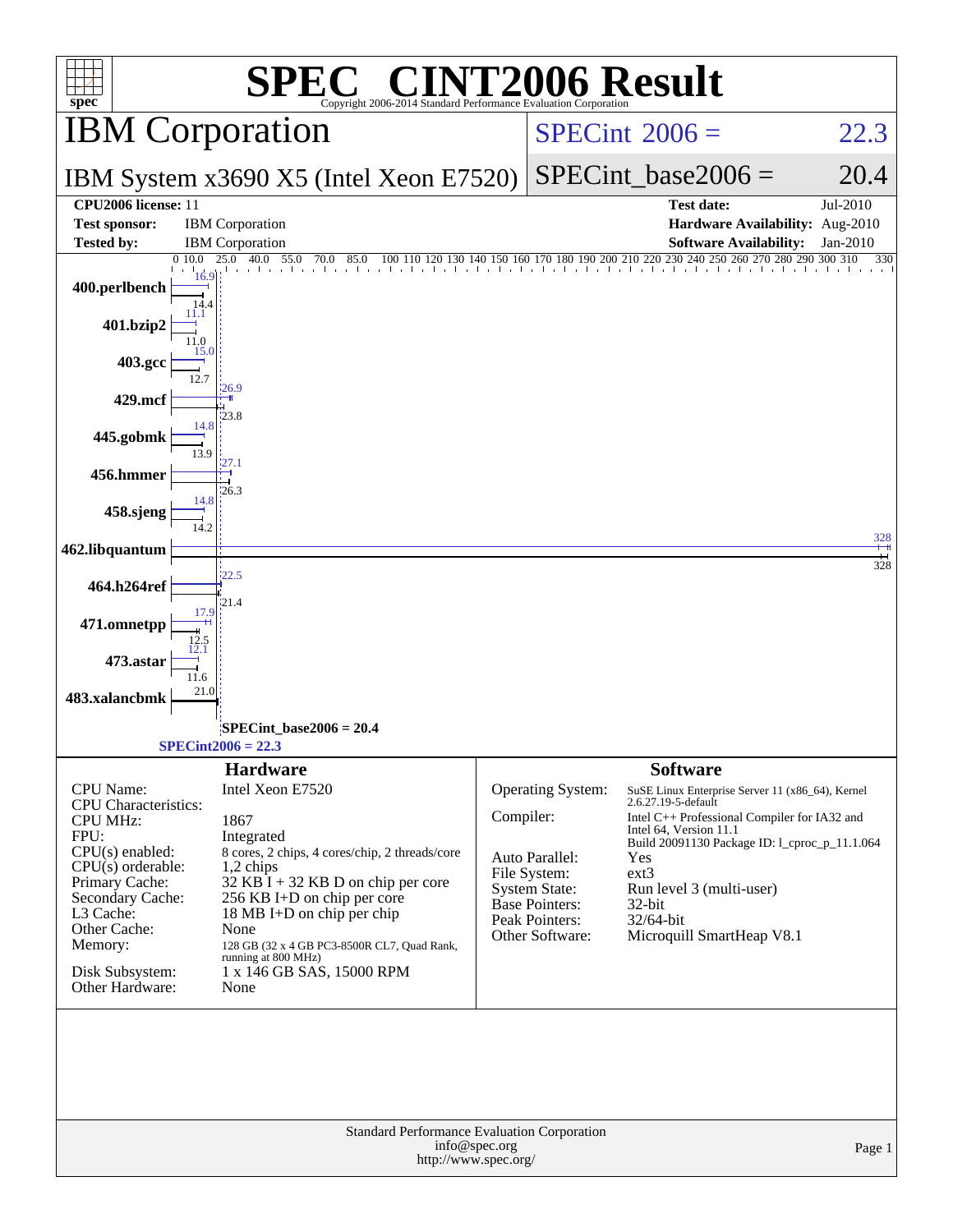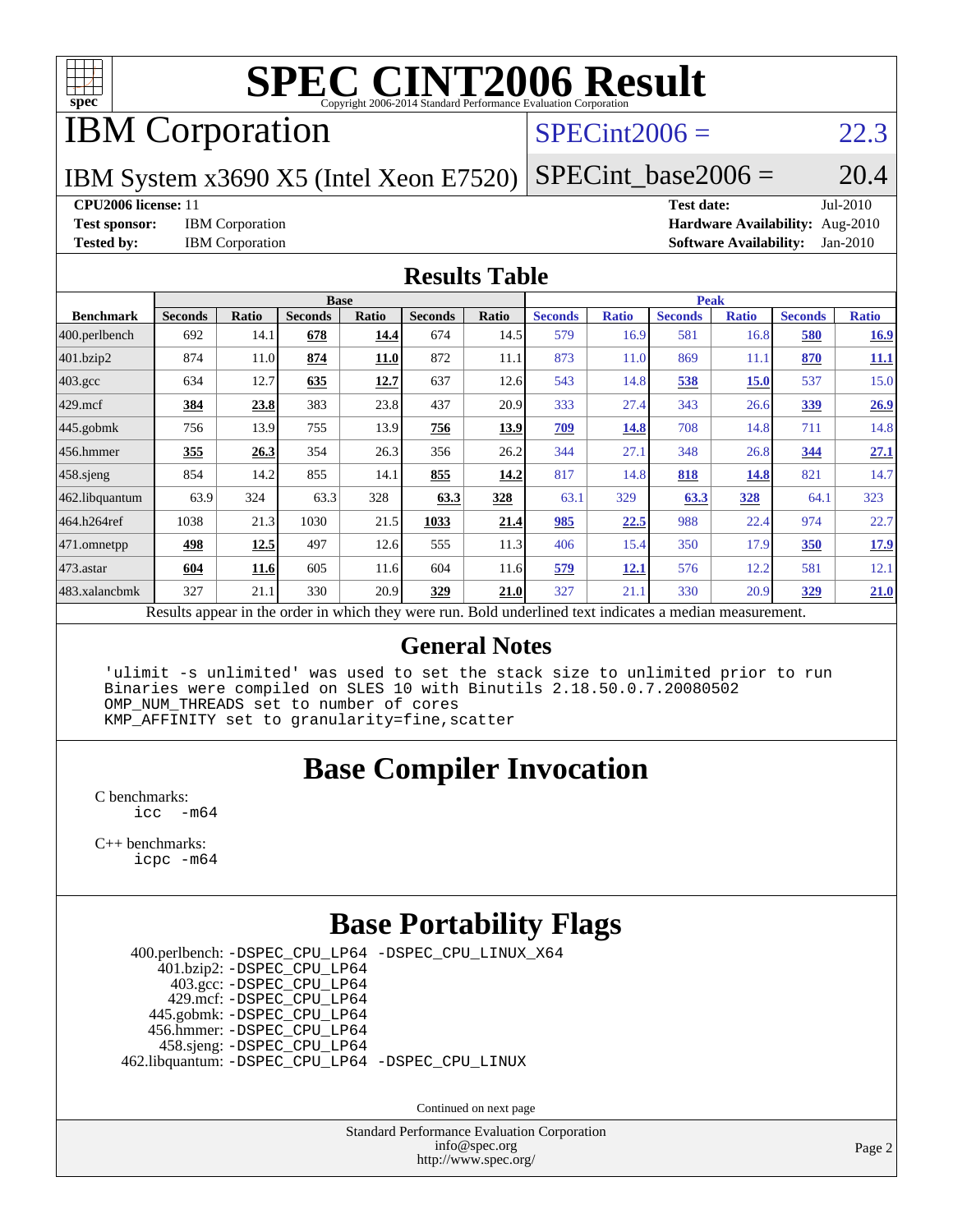

IBM Corporation

#### $SPECint2006 = 22.3$  $SPECint2006 = 22.3$

IBM System x3690 X5 (Intel Xeon E7520)

 $SPECTnt\_base2006 = 20.4$ 

**[CPU2006 license:](http://www.spec.org/auto/cpu2006/Docs/result-fields.html#CPU2006license)** 11 **[Test date:](http://www.spec.org/auto/cpu2006/Docs/result-fields.html#Testdate)** Jul-2010

**[Test sponsor:](http://www.spec.org/auto/cpu2006/Docs/result-fields.html#Testsponsor)** IBM Corporation **[Hardware Availability:](http://www.spec.org/auto/cpu2006/Docs/result-fields.html#HardwareAvailability)** Aug-2010 **[Tested by:](http://www.spec.org/auto/cpu2006/Docs/result-fields.html#Testedby)** IBM Corporation **[Software Availability:](http://www.spec.org/auto/cpu2006/Docs/result-fields.html#SoftwareAvailability)** Jan-2010

#### **[Results Table](http://www.spec.org/auto/cpu2006/Docs/result-fields.html#ResultsTable)**

|                    | <b>Base</b>                                                                                              |             |                |             |                |             | <b>Peak</b>    |              |                |              |                |              |  |
|--------------------|----------------------------------------------------------------------------------------------------------|-------------|----------------|-------------|----------------|-------------|----------------|--------------|----------------|--------------|----------------|--------------|--|
| <b>Benchmark</b>   | <b>Seconds</b>                                                                                           | Ratio       | <b>Seconds</b> | Ratio       | <b>Seconds</b> | Ratio       | <b>Seconds</b> | <b>Ratio</b> | <b>Seconds</b> | <b>Ratio</b> | <b>Seconds</b> | <b>Ratio</b> |  |
| 400.perlbench      | 692                                                                                                      | 14.1        | 678            | 14.4        | 674            | 14.5        | 579            | 16.9         | 581            | 16.8         | 580            | 16.9         |  |
| 401.bzip2          | 874                                                                                                      | 11.0        | 874            | <b>11.0</b> | 872            | 11.1        | 873            | 11.0         | 869            | 11.1         | 870            | 11.1         |  |
| $403.\mathrm{gcc}$ | 634                                                                                                      | 12.7        | 635            | 12.7        | 637            | 12.6        | 543            | 14.8         | 538            | <b>15.0</b>  | 537            | 15.0         |  |
| $429$ .mcf         | 384                                                                                                      | 23.8        | 383            | 23.8        | 437            | 20.9        | 333            | 27.4         | 343            | 26.6         | 339            | 26.9         |  |
| $445$ .gobmk       | 756                                                                                                      | 13.9        | 755            | 13.9        | 756            | <u>13.9</u> | <u>709</u>     | 14.8         | 708            | 14.8         | 711            | 14.8         |  |
| $456.$ hmmer       | 355                                                                                                      | 26.3        | 354            | 26.3        | 356            | 26.2        | 344            | 27.1         | 348            | 26.8         | 344            | 27.1         |  |
| $458$ .sjeng       | 854                                                                                                      | 14.2        | 855            | 14.1        | 855            | 14.2        | 817            | 14.8         | 818            | 14.8         | 821            | 14.7         |  |
| 462.libquantum     | 63.9                                                                                                     | 324         | 63.3           | 328         | 63.3           | 328         | 63.1           | 329          | 63.3           | <b>328</b>   | 64.1           | 323          |  |
| 464.h264ref        | 1038                                                                                                     | 21.3        | 1030           | 21.5        | 1033           | 21.4        | 985            | 22.5         | 988            | 22.4         | 974            | 22.7         |  |
| $ 471$ .omnetpp    | 498                                                                                                      | <u>12.5</u> | 497            | 12.6        | 555            | 11.3        | 406            | 15.4         | 350            | 17.9         | 350            | 17.9         |  |
| $473$ . astar      | 604                                                                                                      | 11.6        | 605            | 11.6        | 604            | 11.6        | 579            | 12.1         | 576            | 12.2         | 581            | 12.1         |  |
| 483.xalancbmk      | 327                                                                                                      | 21.1        | 330            | 20.9        | 329            | 21.0        | 327            | 21.1         | 330            | 20.9         | <u>329</u>     | 21.0         |  |
|                    | Results appear in the order in which they were run. Bold underlined text indicates a median measurement. |             |                |             |                |             |                |              |                |              |                |              |  |

#### **[General Notes](http://www.spec.org/auto/cpu2006/Docs/result-fields.html#GeneralNotes)**

 'ulimit -s unlimited' was used to set the stack size to unlimited prior to run Binaries were compiled on SLES 10 with Binutils 2.18.50.0.7.20080502 OMP\_NUM\_THREADS set to number of cores KMP\_AFFINITY set to granularity=fine,scatter

### **[Base Compiler Invocation](http://www.spec.org/auto/cpu2006/Docs/result-fields.html#BaseCompilerInvocation)**

[C benchmarks](http://www.spec.org/auto/cpu2006/Docs/result-fields.html#Cbenchmarks): [icc -m64](http://www.spec.org/cpu2006/results/res2010q3/cpu2006-20100719-12621.flags.html#user_CCbase_intel_icc_64bit_f346026e86af2a669e726fe758c88044)

[C++ benchmarks:](http://www.spec.org/auto/cpu2006/Docs/result-fields.html#CXXbenchmarks) [icpc -m64](http://www.spec.org/cpu2006/results/res2010q3/cpu2006-20100719-12621.flags.html#user_CXXbase_intel_icpc_64bit_fc66a5337ce925472a5c54ad6a0de310)

### **[Base Portability Flags](http://www.spec.org/auto/cpu2006/Docs/result-fields.html#BasePortabilityFlags)**

 400.perlbench: [-DSPEC\\_CPU\\_LP64](http://www.spec.org/cpu2006/results/res2010q3/cpu2006-20100719-12621.flags.html#b400.perlbench_basePORTABILITY_DSPEC_CPU_LP64) [-DSPEC\\_CPU\\_LINUX\\_X64](http://www.spec.org/cpu2006/results/res2010q3/cpu2006-20100719-12621.flags.html#b400.perlbench_baseCPORTABILITY_DSPEC_CPU_LINUX_X64) 401.bzip2: [-DSPEC\\_CPU\\_LP64](http://www.spec.org/cpu2006/results/res2010q3/cpu2006-20100719-12621.flags.html#suite_basePORTABILITY401_bzip2_DSPEC_CPU_LP64) 403.gcc: [-DSPEC\\_CPU\\_LP64](http://www.spec.org/cpu2006/results/res2010q3/cpu2006-20100719-12621.flags.html#suite_basePORTABILITY403_gcc_DSPEC_CPU_LP64) 429.mcf: [-DSPEC\\_CPU\\_LP64](http://www.spec.org/cpu2006/results/res2010q3/cpu2006-20100719-12621.flags.html#suite_basePORTABILITY429_mcf_DSPEC_CPU_LP64) 445.gobmk: [-DSPEC\\_CPU\\_LP64](http://www.spec.org/cpu2006/results/res2010q3/cpu2006-20100719-12621.flags.html#suite_basePORTABILITY445_gobmk_DSPEC_CPU_LP64) 456.hmmer: [-DSPEC\\_CPU\\_LP64](http://www.spec.org/cpu2006/results/res2010q3/cpu2006-20100719-12621.flags.html#suite_basePORTABILITY456_hmmer_DSPEC_CPU_LP64) 458.sjeng: [-DSPEC\\_CPU\\_LP64](http://www.spec.org/cpu2006/results/res2010q3/cpu2006-20100719-12621.flags.html#suite_basePORTABILITY458_sjeng_DSPEC_CPU_LP64) 462.libquantum: [-DSPEC\\_CPU\\_LP64](http://www.spec.org/cpu2006/results/res2010q3/cpu2006-20100719-12621.flags.html#suite_basePORTABILITY462_libquantum_DSPEC_CPU_LP64) [-DSPEC\\_CPU\\_LINUX](http://www.spec.org/cpu2006/results/res2010q3/cpu2006-20100719-12621.flags.html#b462.libquantum_baseCPORTABILITY_DSPEC_CPU_LINUX)

Continued on next page

Standard Performance Evaluation Corporation [info@spec.org](mailto:info@spec.org) <http://www.spec.org/>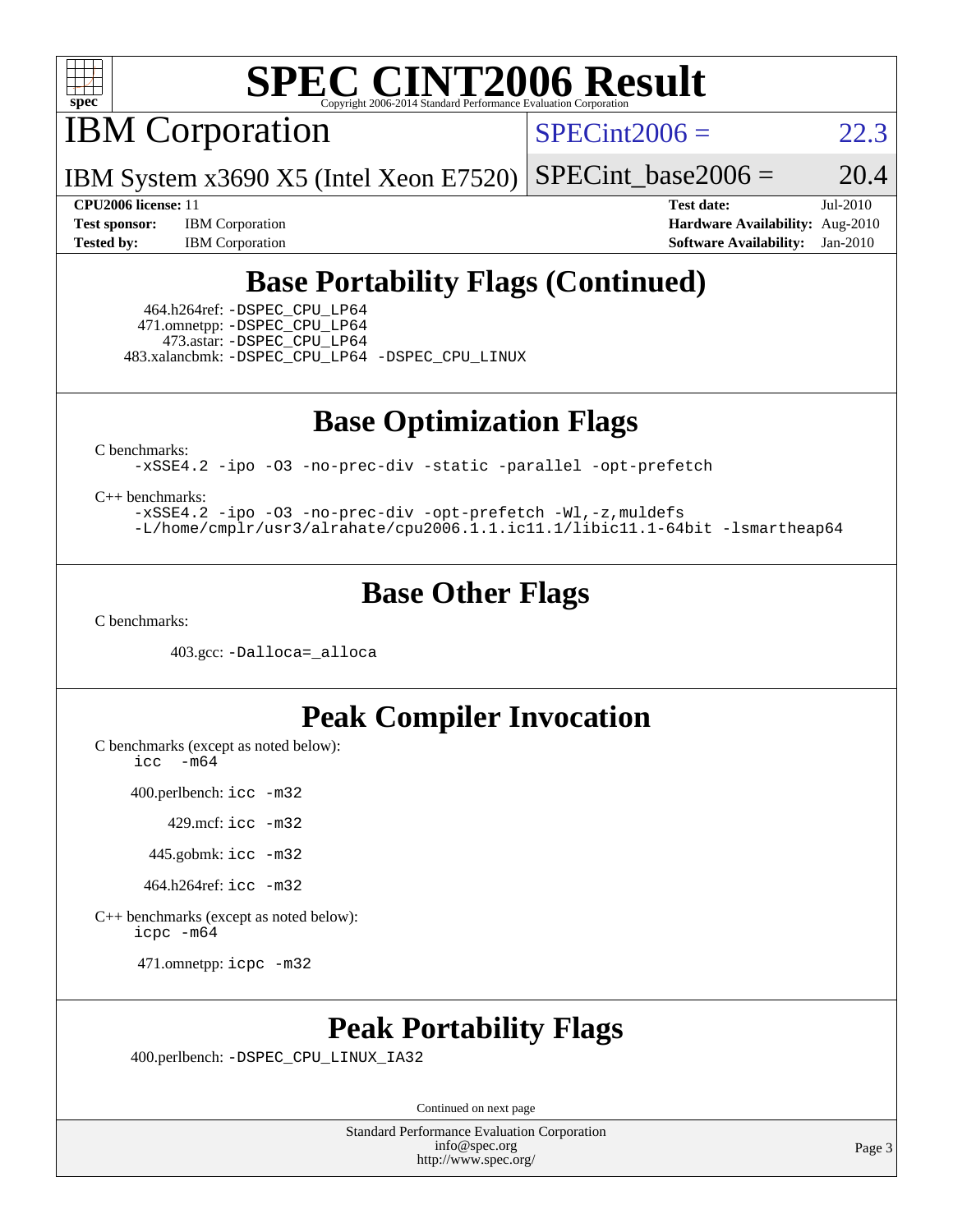

IBM Corporation

 $SPECint2006 = 22.3$  $SPECint2006 = 22.3$ 

IBM System x3690 X5 (Intel Xeon E7520)  $SPECTnt\_base2006 = 20.4$ 

**[CPU2006 license:](http://www.spec.org/auto/cpu2006/Docs/result-fields.html#CPU2006license)** 11 **[Test date:](http://www.spec.org/auto/cpu2006/Docs/result-fields.html#Testdate)** Jul-2010 **[Test sponsor:](http://www.spec.org/auto/cpu2006/Docs/result-fields.html#Testsponsor)** IBM Corporation **[Hardware Availability:](http://www.spec.org/auto/cpu2006/Docs/result-fields.html#HardwareAvailability)** Aug-2010 **[Tested by:](http://www.spec.org/auto/cpu2006/Docs/result-fields.html#Testedby)** IBM Corporation **[Software Availability:](http://www.spec.org/auto/cpu2006/Docs/result-fields.html#SoftwareAvailability)** Jan-2010

## **[Base Portability Flags \(Continued\)](http://www.spec.org/auto/cpu2006/Docs/result-fields.html#BasePortabilityFlags)**

 464.h264ref: [-DSPEC\\_CPU\\_LP64](http://www.spec.org/cpu2006/results/res2010q3/cpu2006-20100719-12621.flags.html#suite_basePORTABILITY464_h264ref_DSPEC_CPU_LP64) 471.omnetpp: [-DSPEC\\_CPU\\_LP64](http://www.spec.org/cpu2006/results/res2010q3/cpu2006-20100719-12621.flags.html#suite_basePORTABILITY471_omnetpp_DSPEC_CPU_LP64) 473.astar: [-DSPEC\\_CPU\\_LP64](http://www.spec.org/cpu2006/results/res2010q3/cpu2006-20100719-12621.flags.html#suite_basePORTABILITY473_astar_DSPEC_CPU_LP64) 483.xalancbmk: [-DSPEC\\_CPU\\_LP64](http://www.spec.org/cpu2006/results/res2010q3/cpu2006-20100719-12621.flags.html#suite_basePORTABILITY483_xalancbmk_DSPEC_CPU_LP64) [-DSPEC\\_CPU\\_LINUX](http://www.spec.org/cpu2006/results/res2010q3/cpu2006-20100719-12621.flags.html#b483.xalancbmk_baseCXXPORTABILITY_DSPEC_CPU_LINUX)

**[Base Optimization Flags](http://www.spec.org/auto/cpu2006/Docs/result-fields.html#BaseOptimizationFlags)**

[C benchmarks](http://www.spec.org/auto/cpu2006/Docs/result-fields.html#Cbenchmarks):

[-xSSE4.2](http://www.spec.org/cpu2006/results/res2010q3/cpu2006-20100719-12621.flags.html#user_CCbase_f-xSSE42_f91528193cf0b216347adb8b939d4107) [-ipo](http://www.spec.org/cpu2006/results/res2010q3/cpu2006-20100719-12621.flags.html#user_CCbase_f-ipo) [-O3](http://www.spec.org/cpu2006/results/res2010q3/cpu2006-20100719-12621.flags.html#user_CCbase_f-O3) [-no-prec-div](http://www.spec.org/cpu2006/results/res2010q3/cpu2006-20100719-12621.flags.html#user_CCbase_f-no-prec-div) [-static](http://www.spec.org/cpu2006/results/res2010q3/cpu2006-20100719-12621.flags.html#user_CCbase_f-static) [-parallel](http://www.spec.org/cpu2006/results/res2010q3/cpu2006-20100719-12621.flags.html#user_CCbase_f-parallel) [-opt-prefetch](http://www.spec.org/cpu2006/results/res2010q3/cpu2006-20100719-12621.flags.html#user_CCbase_f-opt-prefetch)

[C++ benchmarks:](http://www.spec.org/auto/cpu2006/Docs/result-fields.html#CXXbenchmarks)

[-xSSE4.2](http://www.spec.org/cpu2006/results/res2010q3/cpu2006-20100719-12621.flags.html#user_CXXbase_f-xSSE42_f91528193cf0b216347adb8b939d4107) [-ipo](http://www.spec.org/cpu2006/results/res2010q3/cpu2006-20100719-12621.flags.html#user_CXXbase_f-ipo) [-O3](http://www.spec.org/cpu2006/results/res2010q3/cpu2006-20100719-12621.flags.html#user_CXXbase_f-O3) [-no-prec-div](http://www.spec.org/cpu2006/results/res2010q3/cpu2006-20100719-12621.flags.html#user_CXXbase_f-no-prec-div) [-opt-prefetch](http://www.spec.org/cpu2006/results/res2010q3/cpu2006-20100719-12621.flags.html#user_CXXbase_f-opt-prefetch) [-Wl,-z,muldefs](http://www.spec.org/cpu2006/results/res2010q3/cpu2006-20100719-12621.flags.html#user_CXXbase_link_force_multiple1_74079c344b956b9658436fd1b6dd3a8a) [-L/home/cmplr/usr3/alrahate/cpu2006.1.1.ic11.1/libic11.1-64bit -lsmartheap64](http://www.spec.org/cpu2006/results/res2010q3/cpu2006-20100719-12621.flags.html#user_CXXbase_SmartHeap64_e2306cda84805d1ab360117a79ff779c)

#### **[Base Other Flags](http://www.spec.org/auto/cpu2006/Docs/result-fields.html#BaseOtherFlags)**

[C benchmarks](http://www.spec.org/auto/cpu2006/Docs/result-fields.html#Cbenchmarks):

403.gcc: [-Dalloca=\\_alloca](http://www.spec.org/cpu2006/results/res2010q3/cpu2006-20100719-12621.flags.html#b403.gcc_baseEXTRA_CFLAGS_Dalloca_be3056838c12de2578596ca5467af7f3)

#### **[Peak Compiler Invocation](http://www.spec.org/auto/cpu2006/Docs/result-fields.html#PeakCompilerInvocation)**

[C benchmarks \(except as noted below\)](http://www.spec.org/auto/cpu2006/Docs/result-fields.html#Cbenchmarksexceptasnotedbelow):  $\text{icc}$  -m64

400.perlbench: [icc -m32](http://www.spec.org/cpu2006/results/res2010q3/cpu2006-20100719-12621.flags.html#user_peakCCLD400_perlbench_intel_icc_32bit_a6a621f8d50482236b970c6ac5f55f93)

429.mcf: [icc -m32](http://www.spec.org/cpu2006/results/res2010q3/cpu2006-20100719-12621.flags.html#user_peakCCLD429_mcf_intel_icc_32bit_a6a621f8d50482236b970c6ac5f55f93)

445.gobmk: [icc -m32](http://www.spec.org/cpu2006/results/res2010q3/cpu2006-20100719-12621.flags.html#user_peakCCLD445_gobmk_intel_icc_32bit_a6a621f8d50482236b970c6ac5f55f93)

464.h264ref: [icc -m32](http://www.spec.org/cpu2006/results/res2010q3/cpu2006-20100719-12621.flags.html#user_peakCCLD464_h264ref_intel_icc_32bit_a6a621f8d50482236b970c6ac5f55f93)

[C++ benchmarks \(except as noted below\):](http://www.spec.org/auto/cpu2006/Docs/result-fields.html#CXXbenchmarksexceptasnotedbelow) [icpc -m64](http://www.spec.org/cpu2006/results/res2010q3/cpu2006-20100719-12621.flags.html#user_CXXpeak_intel_icpc_64bit_fc66a5337ce925472a5c54ad6a0de310)

471.omnetpp: [icpc -m32](http://www.spec.org/cpu2006/results/res2010q3/cpu2006-20100719-12621.flags.html#user_peakCXXLD471_omnetpp_intel_icpc_32bit_4e5a5ef1a53fd332b3c49e69c3330699)

### **[Peak Portability Flags](http://www.spec.org/auto/cpu2006/Docs/result-fields.html#PeakPortabilityFlags)**

400.perlbench: [-DSPEC\\_CPU\\_LINUX\\_IA32](http://www.spec.org/cpu2006/results/res2010q3/cpu2006-20100719-12621.flags.html#b400.perlbench_peakCPORTABILITY_DSPEC_CPU_LINUX_IA32)

Continued on next page

Standard Performance Evaluation Corporation [info@spec.org](mailto:info@spec.org) <http://www.spec.org/>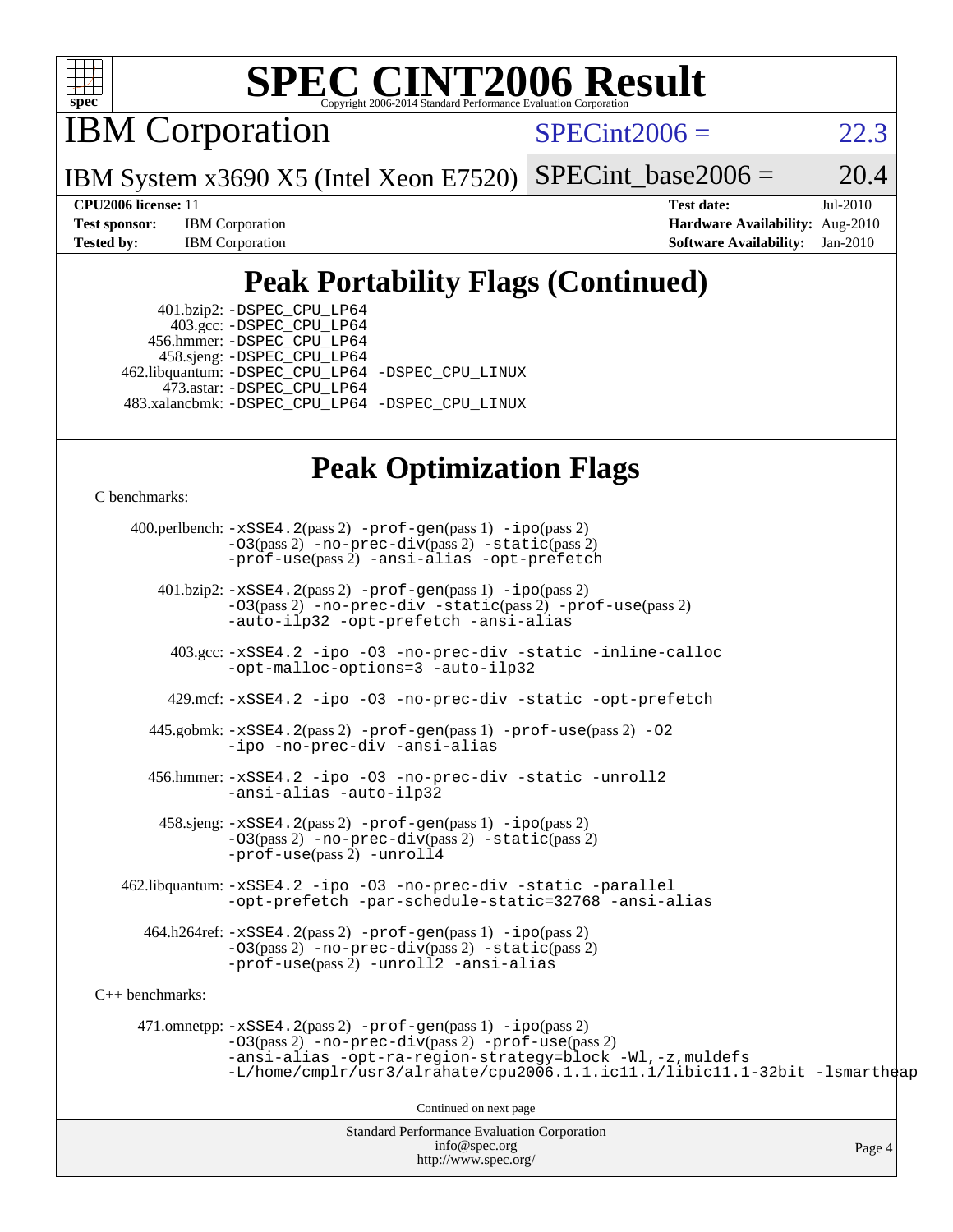

IBM Corporation

 $SPECint2006 = 22.3$  $SPECint2006 = 22.3$ 

IBM System x3690 X5 (Intel Xeon E7520)  $SPECTnt_base2006 = 20.4$ 

**[CPU2006 license:](http://www.spec.org/auto/cpu2006/Docs/result-fields.html#CPU2006license)** 11 **[Test date:](http://www.spec.org/auto/cpu2006/Docs/result-fields.html#Testdate)** Jul-2010 **[Test sponsor:](http://www.spec.org/auto/cpu2006/Docs/result-fields.html#Testsponsor)** IBM Corporation **[Hardware Availability:](http://www.spec.org/auto/cpu2006/Docs/result-fields.html#HardwareAvailability)** Aug-2010 **[Tested by:](http://www.spec.org/auto/cpu2006/Docs/result-fields.html#Testedby)** IBM Corporation **[Software Availability:](http://www.spec.org/auto/cpu2006/Docs/result-fields.html#SoftwareAvailability)** Jan-2010

## **[Peak Portability Flags \(Continued\)](http://www.spec.org/auto/cpu2006/Docs/result-fields.html#PeakPortabilityFlags)**

 401.bzip2: [-DSPEC\\_CPU\\_LP64](http://www.spec.org/cpu2006/results/res2010q3/cpu2006-20100719-12621.flags.html#suite_peakPORTABILITY401_bzip2_DSPEC_CPU_LP64) 403.gcc: [-DSPEC\\_CPU\\_LP64](http://www.spec.org/cpu2006/results/res2010q3/cpu2006-20100719-12621.flags.html#suite_peakPORTABILITY403_gcc_DSPEC_CPU_LP64) 456.hmmer: [-DSPEC\\_CPU\\_LP64](http://www.spec.org/cpu2006/results/res2010q3/cpu2006-20100719-12621.flags.html#suite_peakPORTABILITY456_hmmer_DSPEC_CPU_LP64) 458.sjeng: [-DSPEC\\_CPU\\_LP64](http://www.spec.org/cpu2006/results/res2010q3/cpu2006-20100719-12621.flags.html#suite_peakPORTABILITY458_sjeng_DSPEC_CPU_LP64) 462.libquantum: [-DSPEC\\_CPU\\_LP64](http://www.spec.org/cpu2006/results/res2010q3/cpu2006-20100719-12621.flags.html#suite_peakPORTABILITY462_libquantum_DSPEC_CPU_LP64) [-DSPEC\\_CPU\\_LINUX](http://www.spec.org/cpu2006/results/res2010q3/cpu2006-20100719-12621.flags.html#b462.libquantum_peakCPORTABILITY_DSPEC_CPU_LINUX) 473.astar: [-DSPEC\\_CPU\\_LP64](http://www.spec.org/cpu2006/results/res2010q3/cpu2006-20100719-12621.flags.html#suite_peakPORTABILITY473_astar_DSPEC_CPU_LP64) 483.xalancbmk: [-DSPEC\\_CPU\\_LP64](http://www.spec.org/cpu2006/results/res2010q3/cpu2006-20100719-12621.flags.html#suite_peakPORTABILITY483_xalancbmk_DSPEC_CPU_LP64) [-DSPEC\\_CPU\\_LINUX](http://www.spec.org/cpu2006/results/res2010q3/cpu2006-20100719-12621.flags.html#b483.xalancbmk_peakCXXPORTABILITY_DSPEC_CPU_LINUX)

### **[Peak Optimization Flags](http://www.spec.org/auto/cpu2006/Docs/result-fields.html#PeakOptimizationFlags)**

[C benchmarks](http://www.spec.org/auto/cpu2006/Docs/result-fields.html#Cbenchmarks):

Standard Performance Evaluation Corporation 400.perlbench: [-xSSE4.2](http://www.spec.org/cpu2006/results/res2010q3/cpu2006-20100719-12621.flags.html#user_peakPASS2_CFLAGSPASS2_LDCFLAGS400_perlbench_f-xSSE42_f91528193cf0b216347adb8b939d4107)(pass 2) [-prof-gen](http://www.spec.org/cpu2006/results/res2010q3/cpu2006-20100719-12621.flags.html#user_peakPASS1_CFLAGSPASS1_LDCFLAGS400_perlbench_prof_gen_e43856698f6ca7b7e442dfd80e94a8fc)(pass 1) [-ipo](http://www.spec.org/cpu2006/results/res2010q3/cpu2006-20100719-12621.flags.html#user_peakPASS2_CFLAGSPASS2_LDCFLAGS400_perlbench_f-ipo)(pass 2) [-O3](http://www.spec.org/cpu2006/results/res2010q3/cpu2006-20100719-12621.flags.html#user_peakPASS2_CFLAGSPASS2_LDCFLAGS400_perlbench_f-O3)(pass 2) [-no-prec-div](http://www.spec.org/cpu2006/results/res2010q3/cpu2006-20100719-12621.flags.html#user_peakPASS2_CFLAGSPASS2_LDCFLAGS400_perlbench_f-no-prec-div)(pass 2) [-static](http://www.spec.org/cpu2006/results/res2010q3/cpu2006-20100719-12621.flags.html#user_peakPASS2_CFLAGSPASS2_LDCFLAGS400_perlbench_f-static)(pass 2) [-prof-use](http://www.spec.org/cpu2006/results/res2010q3/cpu2006-20100719-12621.flags.html#user_peakPASS2_CFLAGSPASS2_LDCFLAGS400_perlbench_prof_use_bccf7792157ff70d64e32fe3e1250b55)(pass 2) [-ansi-alias](http://www.spec.org/cpu2006/results/res2010q3/cpu2006-20100719-12621.flags.html#user_peakCOPTIMIZE400_perlbench_f-ansi-alias) [-opt-prefetch](http://www.spec.org/cpu2006/results/res2010q3/cpu2006-20100719-12621.flags.html#user_peakCOPTIMIZE400_perlbench_f-opt-prefetch) 401.bzip2: [-xSSE4.2](http://www.spec.org/cpu2006/results/res2010q3/cpu2006-20100719-12621.flags.html#user_peakPASS2_CFLAGSPASS2_LDCFLAGS401_bzip2_f-xSSE42_f91528193cf0b216347adb8b939d4107)(pass 2) [-prof-gen](http://www.spec.org/cpu2006/results/res2010q3/cpu2006-20100719-12621.flags.html#user_peakPASS1_CFLAGSPASS1_LDCFLAGS401_bzip2_prof_gen_e43856698f6ca7b7e442dfd80e94a8fc)(pass 1) [-ipo](http://www.spec.org/cpu2006/results/res2010q3/cpu2006-20100719-12621.flags.html#user_peakPASS2_CFLAGSPASS2_LDCFLAGS401_bzip2_f-ipo)(pass 2) [-O3](http://www.spec.org/cpu2006/results/res2010q3/cpu2006-20100719-12621.flags.html#user_peakPASS2_CFLAGSPASS2_LDCFLAGS401_bzip2_f-O3)(pass 2) [-no-prec-div](http://www.spec.org/cpu2006/results/res2010q3/cpu2006-20100719-12621.flags.html#user_peakCOPTIMIZEPASS2_CFLAGSPASS2_LDCFLAGS401_bzip2_f-no-prec-div) [-static](http://www.spec.org/cpu2006/results/res2010q3/cpu2006-20100719-12621.flags.html#user_peakPASS2_CFLAGSPASS2_LDCFLAGS401_bzip2_f-static)(pass 2) [-prof-use](http://www.spec.org/cpu2006/results/res2010q3/cpu2006-20100719-12621.flags.html#user_peakPASS2_CFLAGSPASS2_LDCFLAGS401_bzip2_prof_use_bccf7792157ff70d64e32fe3e1250b55)(pass 2) [-auto-ilp32](http://www.spec.org/cpu2006/results/res2010q3/cpu2006-20100719-12621.flags.html#user_peakCOPTIMIZE401_bzip2_f-auto-ilp32) [-opt-prefetch](http://www.spec.org/cpu2006/results/res2010q3/cpu2006-20100719-12621.flags.html#user_peakCOPTIMIZE401_bzip2_f-opt-prefetch) [-ansi-alias](http://www.spec.org/cpu2006/results/res2010q3/cpu2006-20100719-12621.flags.html#user_peakCOPTIMIZE401_bzip2_f-ansi-alias) 403.gcc: [-xSSE4.2](http://www.spec.org/cpu2006/results/res2010q3/cpu2006-20100719-12621.flags.html#user_peakCOPTIMIZE403_gcc_f-xSSE42_f91528193cf0b216347adb8b939d4107) [-ipo](http://www.spec.org/cpu2006/results/res2010q3/cpu2006-20100719-12621.flags.html#user_peakCOPTIMIZE403_gcc_f-ipo) [-O3](http://www.spec.org/cpu2006/results/res2010q3/cpu2006-20100719-12621.flags.html#user_peakCOPTIMIZE403_gcc_f-O3) [-no-prec-div](http://www.spec.org/cpu2006/results/res2010q3/cpu2006-20100719-12621.flags.html#user_peakCOPTIMIZE403_gcc_f-no-prec-div) [-static](http://www.spec.org/cpu2006/results/res2010q3/cpu2006-20100719-12621.flags.html#user_peakCOPTIMIZE403_gcc_f-static) [-inline-calloc](http://www.spec.org/cpu2006/results/res2010q3/cpu2006-20100719-12621.flags.html#user_peakCOPTIMIZE403_gcc_f-inline-calloc) [-opt-malloc-options=3](http://www.spec.org/cpu2006/results/res2010q3/cpu2006-20100719-12621.flags.html#user_peakCOPTIMIZE403_gcc_f-opt-malloc-options_13ab9b803cf986b4ee62f0a5998c2238) [-auto-ilp32](http://www.spec.org/cpu2006/results/res2010q3/cpu2006-20100719-12621.flags.html#user_peakCOPTIMIZE403_gcc_f-auto-ilp32) 429.mcf: [-xSSE4.2](http://www.spec.org/cpu2006/results/res2010q3/cpu2006-20100719-12621.flags.html#user_peakCOPTIMIZE429_mcf_f-xSSE42_f91528193cf0b216347adb8b939d4107) [-ipo](http://www.spec.org/cpu2006/results/res2010q3/cpu2006-20100719-12621.flags.html#user_peakCOPTIMIZE429_mcf_f-ipo) [-O3](http://www.spec.org/cpu2006/results/res2010q3/cpu2006-20100719-12621.flags.html#user_peakCOPTIMIZE429_mcf_f-O3) [-no-prec-div](http://www.spec.org/cpu2006/results/res2010q3/cpu2006-20100719-12621.flags.html#user_peakCOPTIMIZE429_mcf_f-no-prec-div) [-static](http://www.spec.org/cpu2006/results/res2010q3/cpu2006-20100719-12621.flags.html#user_peakCOPTIMIZE429_mcf_f-static) [-opt-prefetch](http://www.spec.org/cpu2006/results/res2010q3/cpu2006-20100719-12621.flags.html#user_peakCOPTIMIZE429_mcf_f-opt-prefetch) 445.gobmk: [-xSSE4.2](http://www.spec.org/cpu2006/results/res2010q3/cpu2006-20100719-12621.flags.html#user_peakPASS2_CFLAGSPASS2_LDCFLAGS445_gobmk_f-xSSE42_f91528193cf0b216347adb8b939d4107)(pass 2) [-prof-gen](http://www.spec.org/cpu2006/results/res2010q3/cpu2006-20100719-12621.flags.html#user_peakPASS1_CFLAGSPASS1_LDCFLAGS445_gobmk_prof_gen_e43856698f6ca7b7e442dfd80e94a8fc)(pass 1) [-prof-use](http://www.spec.org/cpu2006/results/res2010q3/cpu2006-20100719-12621.flags.html#user_peakPASS2_CFLAGSPASS2_LDCFLAGS445_gobmk_prof_use_bccf7792157ff70d64e32fe3e1250b55)(pass 2) [-O2](http://www.spec.org/cpu2006/results/res2010q3/cpu2006-20100719-12621.flags.html#user_peakCOPTIMIZE445_gobmk_f-O2) [-ipo](http://www.spec.org/cpu2006/results/res2010q3/cpu2006-20100719-12621.flags.html#user_peakCOPTIMIZE445_gobmk_f-ipo) [-no-prec-div](http://www.spec.org/cpu2006/results/res2010q3/cpu2006-20100719-12621.flags.html#user_peakCOPTIMIZE445_gobmk_f-no-prec-div) [-ansi-alias](http://www.spec.org/cpu2006/results/res2010q3/cpu2006-20100719-12621.flags.html#user_peakCOPTIMIZE445_gobmk_f-ansi-alias) 456.hmmer: [-xSSE4.2](http://www.spec.org/cpu2006/results/res2010q3/cpu2006-20100719-12621.flags.html#user_peakCOPTIMIZE456_hmmer_f-xSSE42_f91528193cf0b216347adb8b939d4107) [-ipo](http://www.spec.org/cpu2006/results/res2010q3/cpu2006-20100719-12621.flags.html#user_peakCOPTIMIZE456_hmmer_f-ipo) [-O3](http://www.spec.org/cpu2006/results/res2010q3/cpu2006-20100719-12621.flags.html#user_peakCOPTIMIZE456_hmmer_f-O3) [-no-prec-div](http://www.spec.org/cpu2006/results/res2010q3/cpu2006-20100719-12621.flags.html#user_peakCOPTIMIZE456_hmmer_f-no-prec-div) [-static](http://www.spec.org/cpu2006/results/res2010q3/cpu2006-20100719-12621.flags.html#user_peakCOPTIMIZE456_hmmer_f-static) [-unroll2](http://www.spec.org/cpu2006/results/res2010q3/cpu2006-20100719-12621.flags.html#user_peakCOPTIMIZE456_hmmer_f-unroll_784dae83bebfb236979b41d2422d7ec2) [-ansi-alias](http://www.spec.org/cpu2006/results/res2010q3/cpu2006-20100719-12621.flags.html#user_peakCOPTIMIZE456_hmmer_f-ansi-alias) [-auto-ilp32](http://www.spec.org/cpu2006/results/res2010q3/cpu2006-20100719-12621.flags.html#user_peakCOPTIMIZE456_hmmer_f-auto-ilp32) 458.sjeng: [-xSSE4.2](http://www.spec.org/cpu2006/results/res2010q3/cpu2006-20100719-12621.flags.html#user_peakPASS2_CFLAGSPASS2_LDCFLAGS458_sjeng_f-xSSE42_f91528193cf0b216347adb8b939d4107)(pass 2) [-prof-gen](http://www.spec.org/cpu2006/results/res2010q3/cpu2006-20100719-12621.flags.html#user_peakPASS1_CFLAGSPASS1_LDCFLAGS458_sjeng_prof_gen_e43856698f6ca7b7e442dfd80e94a8fc)(pass 1) [-ipo](http://www.spec.org/cpu2006/results/res2010q3/cpu2006-20100719-12621.flags.html#user_peakPASS2_CFLAGSPASS2_LDCFLAGS458_sjeng_f-ipo)(pass 2) [-O3](http://www.spec.org/cpu2006/results/res2010q3/cpu2006-20100719-12621.flags.html#user_peakPASS2_CFLAGSPASS2_LDCFLAGS458_sjeng_f-O3)(pass 2) [-no-prec-div](http://www.spec.org/cpu2006/results/res2010q3/cpu2006-20100719-12621.flags.html#user_peakPASS2_CFLAGSPASS2_LDCFLAGS458_sjeng_f-no-prec-div)(pass 2) [-static](http://www.spec.org/cpu2006/results/res2010q3/cpu2006-20100719-12621.flags.html#user_peakPASS2_CFLAGSPASS2_LDCFLAGS458_sjeng_f-static)(pass 2) [-prof-use](http://www.spec.org/cpu2006/results/res2010q3/cpu2006-20100719-12621.flags.html#user_peakPASS2_CFLAGSPASS2_LDCFLAGS458_sjeng_prof_use_bccf7792157ff70d64e32fe3e1250b55)(pass 2) [-unroll4](http://www.spec.org/cpu2006/results/res2010q3/cpu2006-20100719-12621.flags.html#user_peakCOPTIMIZE458_sjeng_f-unroll_4e5e4ed65b7fd20bdcd365bec371b81f) 462.libquantum: [-xSSE4.2](http://www.spec.org/cpu2006/results/res2010q3/cpu2006-20100719-12621.flags.html#user_peakCOPTIMIZE462_libquantum_f-xSSE42_f91528193cf0b216347adb8b939d4107) [-ipo](http://www.spec.org/cpu2006/results/res2010q3/cpu2006-20100719-12621.flags.html#user_peakCOPTIMIZE462_libquantum_f-ipo) [-O3](http://www.spec.org/cpu2006/results/res2010q3/cpu2006-20100719-12621.flags.html#user_peakCOPTIMIZE462_libquantum_f-O3) [-no-prec-div](http://www.spec.org/cpu2006/results/res2010q3/cpu2006-20100719-12621.flags.html#user_peakCOPTIMIZE462_libquantum_f-no-prec-div) [-static](http://www.spec.org/cpu2006/results/res2010q3/cpu2006-20100719-12621.flags.html#user_peakCOPTIMIZE462_libquantum_f-static) [-parallel](http://www.spec.org/cpu2006/results/res2010q3/cpu2006-20100719-12621.flags.html#user_peakCOPTIMIZE462_libquantum_f-parallel) [-opt-prefetch](http://www.spec.org/cpu2006/results/res2010q3/cpu2006-20100719-12621.flags.html#user_peakCOPTIMIZE462_libquantum_f-opt-prefetch) [-par-schedule-static=32768](http://www.spec.org/cpu2006/results/res2010q3/cpu2006-20100719-12621.flags.html#user_peakCOPTIMIZE462_libquantum_f-par-schedule_9386bcd99ba64e99ee01d1aafefddd14) [-ansi-alias](http://www.spec.org/cpu2006/results/res2010q3/cpu2006-20100719-12621.flags.html#user_peakCOPTIMIZE462_libquantum_f-ansi-alias) 464.h264ref: [-xSSE4.2](http://www.spec.org/cpu2006/results/res2010q3/cpu2006-20100719-12621.flags.html#user_peakPASS2_CFLAGSPASS2_LDCFLAGS464_h264ref_f-xSSE42_f91528193cf0b216347adb8b939d4107)(pass 2) [-prof-gen](http://www.spec.org/cpu2006/results/res2010q3/cpu2006-20100719-12621.flags.html#user_peakPASS1_CFLAGSPASS1_LDCFLAGS464_h264ref_prof_gen_e43856698f6ca7b7e442dfd80e94a8fc)(pass 1) [-ipo](http://www.spec.org/cpu2006/results/res2010q3/cpu2006-20100719-12621.flags.html#user_peakPASS2_CFLAGSPASS2_LDCFLAGS464_h264ref_f-ipo)(pass 2) [-O3](http://www.spec.org/cpu2006/results/res2010q3/cpu2006-20100719-12621.flags.html#user_peakPASS2_CFLAGSPASS2_LDCFLAGS464_h264ref_f-O3)(pass 2) [-no-prec-div](http://www.spec.org/cpu2006/results/res2010q3/cpu2006-20100719-12621.flags.html#user_peakPASS2_CFLAGSPASS2_LDCFLAGS464_h264ref_f-no-prec-div)(pass 2) [-static](http://www.spec.org/cpu2006/results/res2010q3/cpu2006-20100719-12621.flags.html#user_peakPASS2_CFLAGSPASS2_LDCFLAGS464_h264ref_f-static)(pass 2) [-prof-use](http://www.spec.org/cpu2006/results/res2010q3/cpu2006-20100719-12621.flags.html#user_peakPASS2_CFLAGSPASS2_LDCFLAGS464_h264ref_prof_use_bccf7792157ff70d64e32fe3e1250b55)(pass 2) [-unroll2](http://www.spec.org/cpu2006/results/res2010q3/cpu2006-20100719-12621.flags.html#user_peakCOPTIMIZE464_h264ref_f-unroll_784dae83bebfb236979b41d2422d7ec2) [-ansi-alias](http://www.spec.org/cpu2006/results/res2010q3/cpu2006-20100719-12621.flags.html#user_peakCOPTIMIZE464_h264ref_f-ansi-alias) [C++ benchmarks:](http://www.spec.org/auto/cpu2006/Docs/result-fields.html#CXXbenchmarks) 471.omnetpp: [-xSSE4.2](http://www.spec.org/cpu2006/results/res2010q3/cpu2006-20100719-12621.flags.html#user_peakPASS2_CXXFLAGSPASS2_LDCXXFLAGS471_omnetpp_f-xSSE42_f91528193cf0b216347adb8b939d4107)(pass 2) [-prof-gen](http://www.spec.org/cpu2006/results/res2010q3/cpu2006-20100719-12621.flags.html#user_peakPASS1_CXXFLAGSPASS1_LDCXXFLAGS471_omnetpp_prof_gen_e43856698f6ca7b7e442dfd80e94a8fc)(pass 1) [-ipo](http://www.spec.org/cpu2006/results/res2010q3/cpu2006-20100719-12621.flags.html#user_peakPASS2_CXXFLAGSPASS2_LDCXXFLAGS471_omnetpp_f-ipo)(pass 2) [-O3](http://www.spec.org/cpu2006/results/res2010q3/cpu2006-20100719-12621.flags.html#user_peakPASS2_CXXFLAGSPASS2_LDCXXFLAGS471_omnetpp_f-O3)(pass 2) [-no-prec-div](http://www.spec.org/cpu2006/results/res2010q3/cpu2006-20100719-12621.flags.html#user_peakPASS2_CXXFLAGSPASS2_LDCXXFLAGS471_omnetpp_f-no-prec-div)(pass 2) [-prof-use](http://www.spec.org/cpu2006/results/res2010q3/cpu2006-20100719-12621.flags.html#user_peakPASS2_CXXFLAGSPASS2_LDCXXFLAGS471_omnetpp_prof_use_bccf7792157ff70d64e32fe3e1250b55)(pass 2) [-ansi-alias](http://www.spec.org/cpu2006/results/res2010q3/cpu2006-20100719-12621.flags.html#user_peakCXXOPTIMIZE471_omnetpp_f-ansi-alias) [-opt-ra-region-strategy=block](http://www.spec.org/cpu2006/results/res2010q3/cpu2006-20100719-12621.flags.html#user_peakCXXOPTIMIZE471_omnetpp_f-opt-ra-region-strategy-block_a0a37c372d03933b2a18d4af463c1f69) [-Wl,-z,muldefs](http://www.spec.org/cpu2006/results/res2010q3/cpu2006-20100719-12621.flags.html#user_peakEXTRA_LDFLAGS471_omnetpp_link_force_multiple1_74079c344b956b9658436fd1b6dd3a8a) [-L/home/cmplr/usr3/alrahate/cpu2006.1.1.ic11.1/libic11.1-32bit -lsmartheap](http://www.spec.org/cpu2006/results/res2010q3/cpu2006-20100719-12621.flags.html#user_peakEXTRA_LIBS471_omnetpp_SmartHeap_d86dffe4a79b79ef8890d5cce17030c3) Continued on next page

[info@spec.org](mailto:info@spec.org) <http://www.spec.org/>